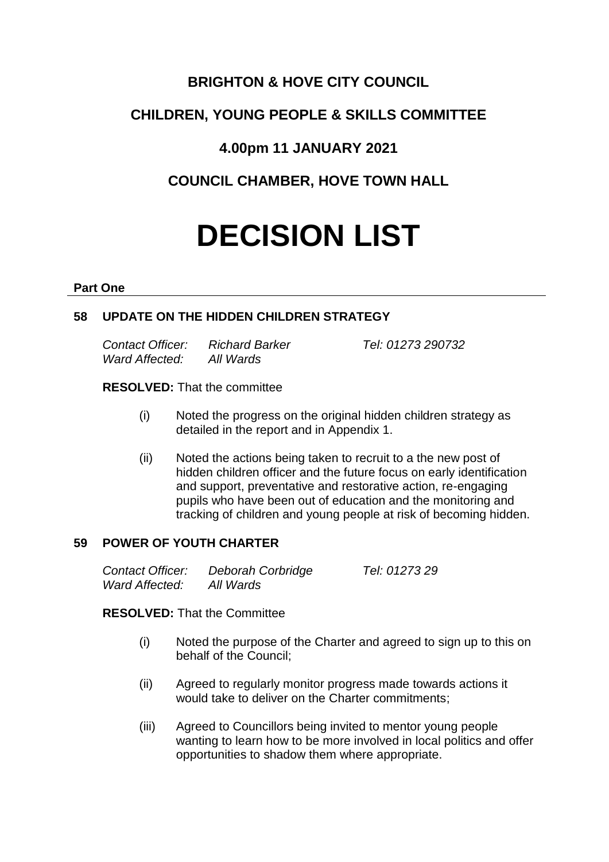# **BRIGHTON & HOVE CITY COUNCIL**

# **CHILDREN, YOUNG PEOPLE & SKILLS COMMITTEE**

## **4.00pm 11 JANUARY 2021**

# **COUNCIL CHAMBER, HOVE TOWN HALL**

# **DECISION LIST**

#### **Part One**

## **58 UPDATE ON THE HIDDEN CHILDREN STRATEGY**

*Contact Officer: Richard Barker Tel: 01273 290732 Ward Affected: All Wards*

#### **RESOLVED:** That the committee

- (i) Noted the progress on the original hidden children strategy as detailed in the report and in Appendix 1.
- (ii) Noted the actions being taken to recruit to a the new post of hidden children officer and the future focus on early identification and support, preventative and restorative action, re-engaging pupils who have been out of education and the monitoring and tracking of children and young people at risk of becoming hidden.

#### **59 POWER OF YOUTH CHARTER**

| Contact Officer: | Deborah Corbridge | Tel: 01273 29 |
|------------------|-------------------|---------------|
| Ward Affected:   | All Wards         |               |

**RESOLVED:** That the Committee

- (i) Noted the purpose of the Charter and agreed to sign up to this on behalf of the Council;
- (ii) Agreed to regularly monitor progress made towards actions it would take to deliver on the Charter commitments;
- (iii) Agreed to Councillors being invited to mentor young people wanting to learn how to be more involved in local politics and offer opportunities to shadow them where appropriate.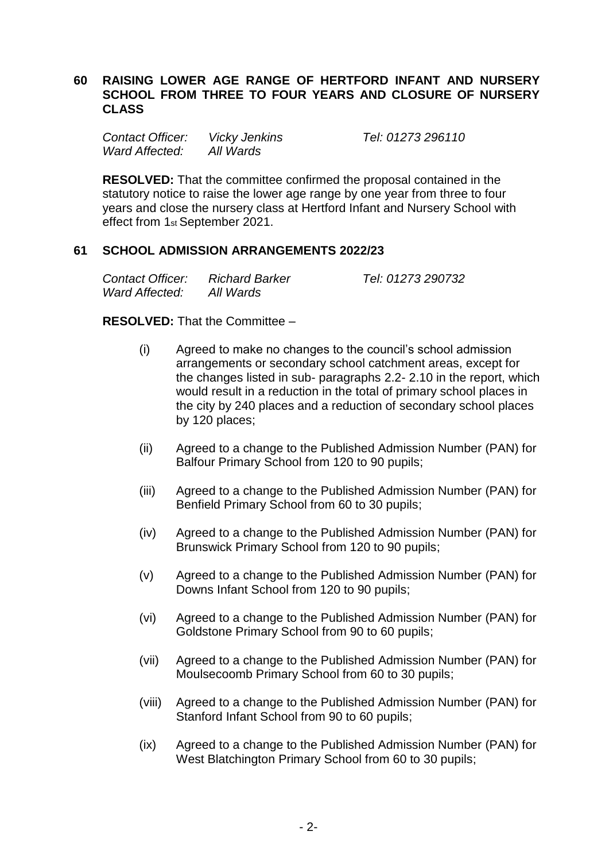#### **60 RAISING LOWER AGE RANGE OF HERTFORD INFANT AND NURSERY SCHOOL FROM THREE TO FOUR YEARS AND CLOSURE OF NURSERY CLASS**

*Contact Officer: Vicky Jenkins Tel: 01273 296110 Ward Affected: All Wards*

**RESOLVED:** That the committee confirmed the proposal contained in the statutory notice to raise the lower age range by one year from three to four years and close the nursery class at Hertford Infant and Nursery School with effect from 1st September 2021.

#### **61 SCHOOL ADMISSION ARRANGEMENTS 2022/23**

| Contact Officer: | <b>Richard Barker</b> | Tel: 01273 290732 |
|------------------|-----------------------|-------------------|
| Ward Affected:   | All Wards             |                   |

**RESOLVED:** That the Committee –

- (i) Agreed to make no changes to the council's school admission arrangements or secondary school catchment areas, except for the changes listed in sub- paragraphs 2.2- 2.10 in the report, which would result in a reduction in the total of primary school places in the city by 240 places and a reduction of secondary school places by 120 places;
- (ii) Agreed to a change to the Published Admission Number (PAN) for Balfour Primary School from 120 to 90 pupils;
- (iii) Agreed to a change to the Published Admission Number (PAN) for Benfield Primary School from 60 to 30 pupils;
- (iv) Agreed to a change to the Published Admission Number (PAN) for Brunswick Primary School from 120 to 90 pupils;
- (v) Agreed to a change to the Published Admission Number (PAN) for Downs Infant School from 120 to 90 pupils;
- (vi) Agreed to a change to the Published Admission Number (PAN) for Goldstone Primary School from 90 to 60 pupils;
- (vii) Agreed to a change to the Published Admission Number (PAN) for Moulsecoomb Primary School from 60 to 30 pupils;
- (viii) Agreed to a change to the Published Admission Number (PAN) for Stanford Infant School from 90 to 60 pupils;
- (ix) Agreed to a change to the Published Admission Number (PAN) for West Blatchington Primary School from 60 to 30 pupils;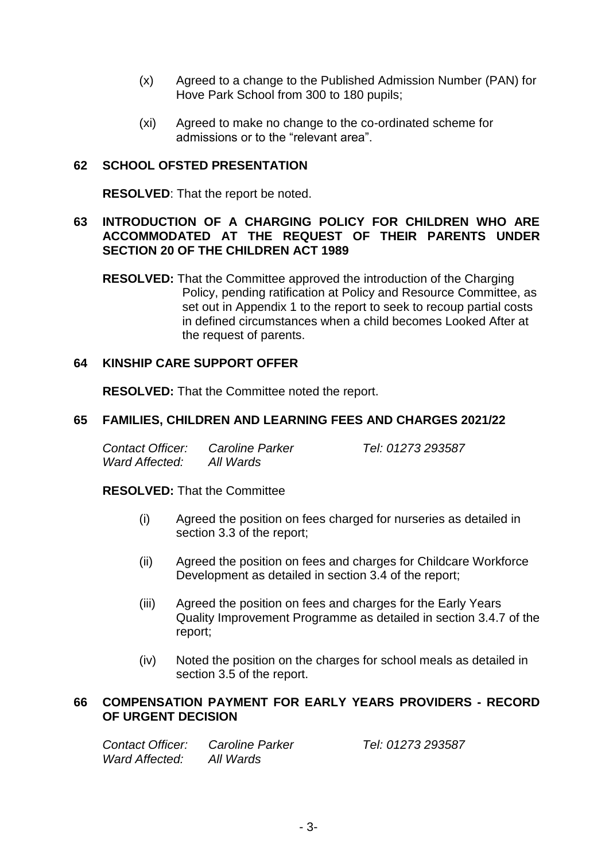- (x) Agreed to a change to the Published Admission Number (PAN) for Hove Park School from 300 to 180 pupils;
- (xi) Agreed to make no change to the co-ordinated scheme for admissions or to the "relevant area".

## **62 SCHOOL OFSTED PRESENTATION**

**RESOLVED**: That the report be noted.

#### **63 INTRODUCTION OF A CHARGING POLICY FOR CHILDREN WHO ARE ACCOMMODATED AT THE REQUEST OF THEIR PARENTS UNDER SECTION 20 OF THE CHILDREN ACT 1989**

**RESOLVED:** That the Committee approved the introduction of the Charging Policy, pending ratification at Policy and Resource Committee, as set out in Appendix 1 to the report to seek to recoup partial costs in defined circumstances when a child becomes Looked After at the request of parents.

#### **64 KINSHIP CARE SUPPORT OFFER**

**RESOLVED:** That the Committee noted the report.

#### **65 FAMILIES, CHILDREN AND LEARNING FEES AND CHARGES 2021/22**

| Contact Officer: | Caroline Parker | Tel: 01273 293587 |
|------------------|-----------------|-------------------|
| Ward Affected:   | All Wards       |                   |

**RESOLVED:** That the Committee

- (i) Agreed the position on fees charged for nurseries as detailed in section 3.3 of the report;
- (ii) Agreed the position on fees and charges for Childcare Workforce Development as detailed in section 3.4 of the report;
- (iii) Agreed the position on fees and charges for the Early Years Quality Improvement Programme as detailed in section 3.4.7 of the report;
- (iv) Noted the position on the charges for school meals as detailed in section 3.5 of the report.

#### **66 COMPENSATION PAYMENT FOR EARLY YEARS PROVIDERS - RECORD OF URGENT DECISION**

| Contact Officer: | <b>Caroline Parker</b> | Tel: 01273 293587 |
|------------------|------------------------|-------------------|
| Ward Affected:   | All Wards              |                   |